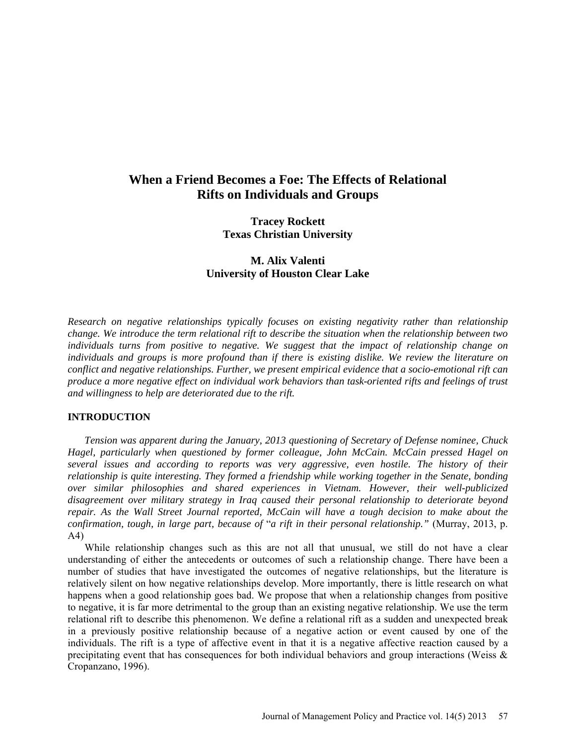# **When a Friend Becomes a Foe: The Effects of Relational Rifts on Individuals and Groups**

**Tracey Rockett Texas Christian University**

**M. Alix Valenti University of Houston Clear Lake**

*Research on negative relationships typically focuses on existing negativity rather than relationship change. We introduce the term relational rift to describe the situation when the relationship between two individuals turns from positive to negative. We suggest that the impact of relationship change on individuals and groups is more profound than if there is existing dislike. We review the literature on conflict and negative relationships. Further, we present empirical evidence that a socio-emotional rift can produce a more negative effect on individual work behaviors than task-oriented rifts and feelings of trust and willingness to help are deteriorated due to the rift.*

## **INTRODUCTION**

*Tension was apparent during the January, 2013 questioning of Secretary of Defense nominee, Chuck Hagel, particularly when questioned by former colleague, John McCain. McCain pressed Hagel on several issues and according to reports was very aggressive, even hostile. The history of their relationship is quite interesting. They formed a friendship while working together in the Senate, bonding over similar philosophies and shared experiences in Vietnam. However, their well-publicized disagreement over military strategy in Iraq caused their personal relationship to deteriorate beyond repair. As the Wall Street Journal reported, McCain will have a tough decision to make about the confirmation, tough, in large part, because of* "*a rift in their personal relationship."* (Murray, 2013, p. A4)

While relationship changes such as this are not all that unusual, we still do not have a clear understanding of either the antecedents or outcomes of such a relationship change. There have been a number of studies that have investigated the outcomes of negative relationships, but the literature is relatively silent on how negative relationships develop. More importantly, there is little research on what happens when a good relationship goes bad. We propose that when a relationship changes from positive to negative, it is far more detrimental to the group than an existing negative relationship. We use the term relational rift to describe this phenomenon. We define a relational rift as a sudden and unexpected break in a previously positive relationship because of a negative action or event caused by one of the individuals. The rift is a type of affective event in that it is a negative affective reaction caused by a precipitating event that has consequences for both individual behaviors and group interactions (Weiss & Cropanzano, 1996).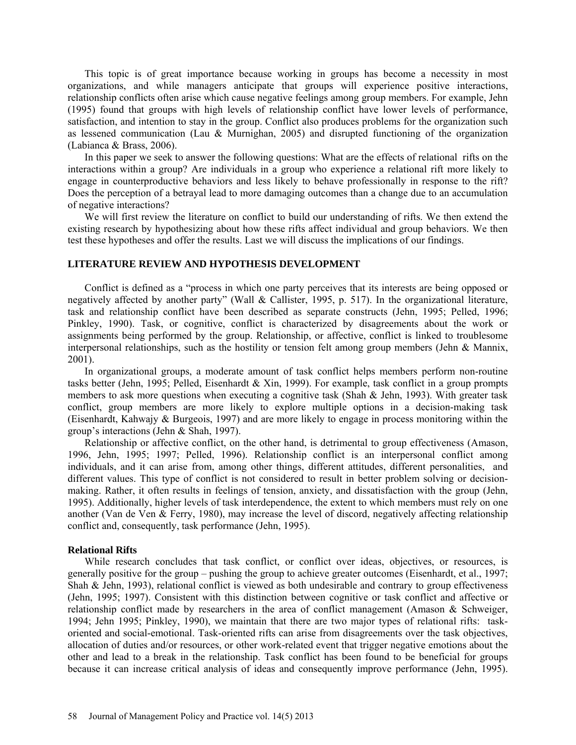This topic is of great importance because working in groups has become a necessity in most organizations, and while managers anticipate that groups will experience positive interactions, relationship conflicts often arise which cause negative feelings among group members. For example, Jehn (1995) found that groups with high levels of relationship conflict have lower levels of performance, satisfaction, and intention to stay in the group. Conflict also produces problems for the organization such as lessened communication (Lau & Murnighan, 2005) and disrupted functioning of the organization (Labianca & Brass, 2006).

In this paper we seek to answer the following questions: What are the effects of relational rifts on the interactions within a group? Are individuals in a group who experience a relational rift more likely to engage in counterproductive behaviors and less likely to behave professionally in response to the rift? Does the perception of a betrayal lead to more damaging outcomes than a change due to an accumulation of negative interactions?

We will first review the literature on conflict to build our understanding of rifts. We then extend the existing research by hypothesizing about how these rifts affect individual and group behaviors. We then test these hypotheses and offer the results. Last we will discuss the implications of our findings.

# **LITERATURE REVIEW AND HYPOTHESIS DEVELOPMENT**

Conflict is defined as a "process in which one party perceives that its interests are being opposed or negatively affected by another party" (Wall & Callister, 1995, p. 517). In the organizational literature, task and relationship conflict have been described as separate constructs (Jehn, 1995; Pelled, 1996; Pinkley, 1990). Task, or cognitive, conflict is characterized by disagreements about the work or assignments being performed by the group. Relationship, or affective, conflict is linked to troublesome interpersonal relationships, such as the hostility or tension felt among group members (Jehn & Mannix, 2001).

In organizational groups, a moderate amount of task conflict helps members perform non-routine tasks better (Jehn, 1995; Pelled, Eisenhardt & Xin, 1999). For example, task conflict in a group prompts members to ask more questions when executing a cognitive task (Shah & Jehn, 1993). With greater task conflict, group members are more likely to explore multiple options in a decision-making task (Eisenhardt, Kahwajy & Burgeois, 1997) and are more likely to engage in process monitoring within the group's interactions (Jehn & Shah, 1997).

Relationship or affective conflict, on the other hand, is detrimental to group effectiveness (Amason, 1996, Jehn, 1995; 1997; Pelled, 1996). Relationship conflict is an interpersonal conflict among individuals, and it can arise from, among other things, different attitudes, different personalities, and different values. This type of conflict is not considered to result in better problem solving or decisionmaking. Rather, it often results in feelings of tension, anxiety, and dissatisfaction with the group (Jehn, 1995). Additionally, higher levels of task interdependence, the extent to which members must rely on one another (Van de Ven & Ferry, 1980), may increase the level of discord, negatively affecting relationship conflict and, consequently, task performance (Jehn, 1995).

#### **Relational Rifts**

While research concludes that task conflict, or conflict over ideas, objectives, or resources, is generally positive for the group – pushing the group to achieve greater outcomes (Eisenhardt, et al., 1997; Shah & Jehn, 1993), relational conflict is viewed as both undesirable and contrary to group effectiveness (Jehn, 1995; 1997). Consistent with this distinction between cognitive or task conflict and affective or relationship conflict made by researchers in the area of conflict management (Amason & Schweiger, 1994; Jehn 1995; Pinkley, 1990), we maintain that there are two major types of relational rifts: taskoriented and social-emotional. Task-oriented rifts can arise from disagreements over the task objectives, allocation of duties and/or resources, or other work-related event that trigger negative emotions about the other and lead to a break in the relationship. Task conflict has been found to be beneficial for groups because it can increase critical analysis of ideas and consequently improve performance (Jehn, 1995).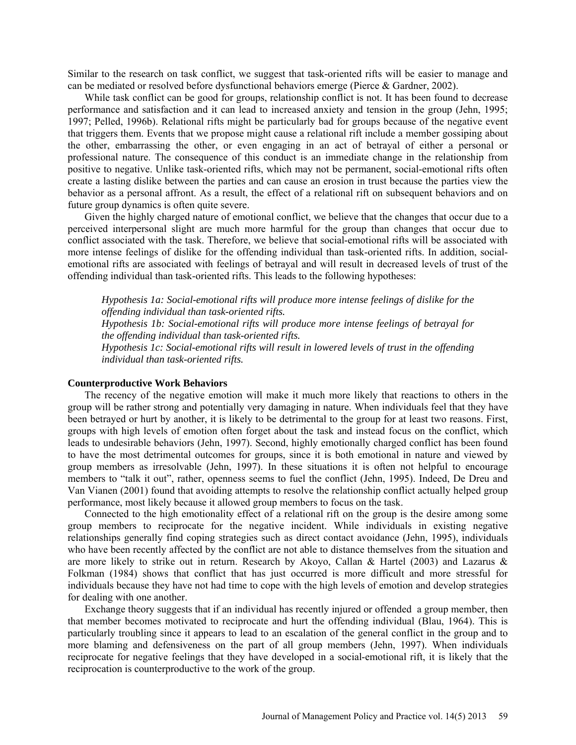Similar to the research on task conflict, we suggest that task-oriented rifts will be easier to manage and can be mediated or resolved before dysfunctional behaviors emerge (Pierce & Gardner, 2002).

While task conflict can be good for groups, relationship conflict is not. It has been found to decrease performance and satisfaction and it can lead to increased anxiety and tension in the group (Jehn, 1995; 1997; Pelled, 1996b). Relational rifts might be particularly bad for groups because of the negative event that triggers them. Events that we propose might cause a relational rift include a member gossiping about the other, embarrassing the other, or even engaging in an act of betrayal of either a personal or professional nature. The consequence of this conduct is an immediate change in the relationship from positive to negative. Unlike task-oriented rifts, which may not be permanent, social-emotional rifts often create a lasting dislike between the parties and can cause an erosion in trust because the parties view the behavior as a personal affront. As a result, the effect of a relational rift on subsequent behaviors and on future group dynamics is often quite severe.

Given the highly charged nature of emotional conflict, we believe that the changes that occur due to a perceived interpersonal slight are much more harmful for the group than changes that occur due to conflict associated with the task. Therefore, we believe that social-emotional rifts will be associated with more intense feelings of dislike for the offending individual than task-oriented rifts. In addition, socialemotional rifts are associated with feelings of betrayal and will result in decreased levels of trust of the offending individual than task-oriented rifts. This leads to the following hypotheses:

*Hypothesis 1a: Social-emotional rifts will produce more intense feelings of dislike for the offending individual than task-oriented rifts.*

*Hypothesis 1b: Social-emotional rifts will produce more intense feelings of betrayal for the offending individual than task-oriented rifts.* 

*Hypothesis 1c: Social-emotional rifts will result in lowered levels of trust in the offending individual than task-oriented rifts.*

# **Counterproductive Work Behaviors**

The recency of the negative emotion will make it much more likely that reactions to others in the group will be rather strong and potentially very damaging in nature. When individuals feel that they have been betrayed or hurt by another, it is likely to be detrimental to the group for at least two reasons. First, groups with high levels of emotion often forget about the task and instead focus on the conflict, which leads to undesirable behaviors (Jehn, 1997). Second, highly emotionally charged conflict has been found to have the most detrimental outcomes for groups, since it is both emotional in nature and viewed by group members as irresolvable (Jehn, 1997). In these situations it is often not helpful to encourage members to "talk it out", rather, openness seems to fuel the conflict (Jehn, 1995). Indeed, De Dreu and Van Vianen (2001) found that avoiding attempts to resolve the relationship conflict actually helped group performance, most likely because it allowed group members to focus on the task.

Connected to the high emotionality effect of a relational rift on the group is the desire among some group members to reciprocate for the negative incident. While individuals in existing negative relationships generally find coping strategies such as direct contact avoidance (Jehn, 1995), individuals who have been recently affected by the conflict are not able to distance themselves from the situation and are more likely to strike out in return. Research by Akoyo, Callan & Hartel (2003) and Lazarus & Folkman (1984) shows that conflict that has just occurred is more difficult and more stressful for individuals because they have not had time to cope with the high levels of emotion and develop strategies for dealing with one another.

Exchange theory suggests that if an individual has recently injured or offended a group member, then that member becomes motivated to reciprocate and hurt the offending individual (Blau, 1964). This is particularly troubling since it appears to lead to an escalation of the general conflict in the group and to more blaming and defensiveness on the part of all group members (Jehn, 1997). When individuals reciprocate for negative feelings that they have developed in a social-emotional rift, it is likely that the reciprocation is counterproductive to the work of the group.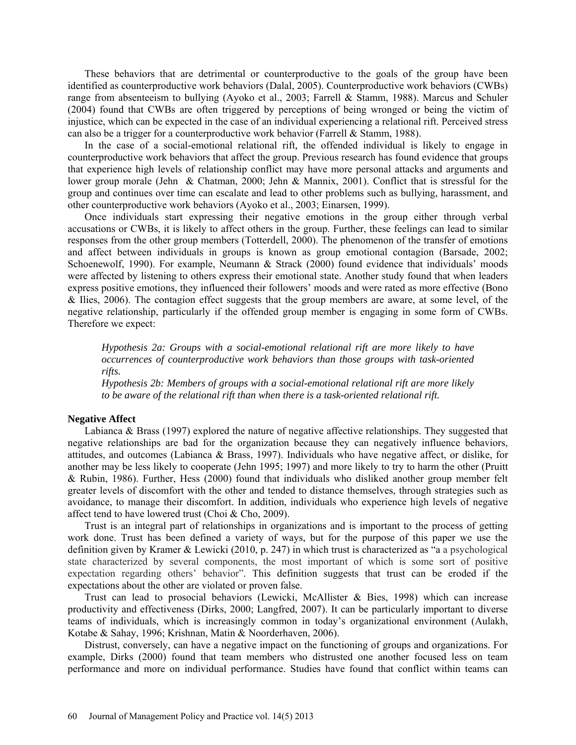These behaviors that are detrimental or counterproductive to the goals of the group have been identified as counterproductive work behaviors (Dalal, 2005). Counterproductive work behaviors (CWBs) range from absenteeism to bullying (Ayoko et al., 2003; Farrell & Stamm, 1988). Marcus and Schuler (2004) found that CWBs are often triggered by perceptions of being wronged or being the victim of injustice, which can be expected in the case of an individual experiencing a relational rift. Perceived stress can also be a trigger for a counterproductive work behavior (Farrell & Stamm, 1988).

In the case of a social-emotional relational rift*,* the offended individual is likely to engage in counterproductive work behaviors that affect the group. Previous research has found evidence that groups that experience high levels of relationship conflict may have more personal attacks and arguments and lower group morale (Jehn & Chatman, 2000; Jehn & Mannix, 2001). Conflict that is stressful for the group and continues over time can escalate and lead to other problems such as bullying, harassment, and other counterproductive work behaviors (Ayoko et al., 2003; Einarsen, 1999).

Once individuals start expressing their negative emotions in the group either through verbal accusations or CWBs, it is likely to affect others in the group. Further, these feelings can lead to similar responses from the other group members (Totterdell, 2000). The phenomenon of the transfer of emotions and affect between individuals in groups is known as group emotional contagion (Barsade, 2002; Schoenewolf, 1990). For example, Neumann & Strack (2000) found evidence that individuals' moods were affected by listening to others express their emotional state. Another study found that when leaders express positive emotions, they influenced their followers' moods and were rated as more effective (Bono & Ilies, 2006). The contagion effect suggests that the group members are aware, at some level, of the negative relationship, particularly if the offended group member is engaging in some form of CWBs. Therefore we expect:

*Hypothesis 2a: Groups with a social-emotional relational rift are more likely to have occurrences of counterproductive work behaviors than those groups with task-oriented rifts.* 

*Hypothesis 2b: Members of groups with a social-emotional relational rift are more likely to be aware of the relational rift than when there is a task-oriented relational rift.* 

# **Negative Affect**

Labianca & Brass (1997) explored the nature of negative affective relationships. They suggested that negative relationships are bad for the organization because they can negatively influence behaviors, attitudes, and outcomes (Labianca & Brass, 1997). Individuals who have negative affect, or dislike, for another may be less likely to cooperate (Jehn 1995; 1997) and more likely to try to harm the other (Pruitt & Rubin, 1986). Further, Hess (2000) found that individuals who disliked another group member felt greater levels of discomfort with the other and tended to distance themselves, through strategies such as avoidance, to manage their discomfort. In addition, individuals who experience high levels of negative affect tend to have lowered trust (Choi & Cho, 2009).

Trust is an integral part of relationships in organizations and is important to the process of getting work done. Trust has been defined a variety of ways, but for the purpose of this paper we use the definition given by Kramer & Lewicki (2010, p. 247) in which trust is characterized as "a a psychological state characterized by several components, the most important of which is some sort of positive expectation regarding others' behavior". This definition suggests that trust can be eroded if the expectations about the other are violated or proven false.

Trust can lead to prosocial behaviors (Lewicki, McAllister & Bies, 1998) which can increase productivity and effectiveness (Dirks, 2000; Langfred, 2007). It can be particularly important to diverse teams of individuals, which is increasingly common in today's organizational environment (Aulakh, Kotabe & Sahay, 1996; Krishnan, Matin & Noorderhaven, 2006).

Distrust, conversely, can have a negative impact on the functioning of groups and organizations. For example, Dirks (2000) found that team members who distrusted one another focused less on team performance and more on individual performance. Studies have found that conflict within teams can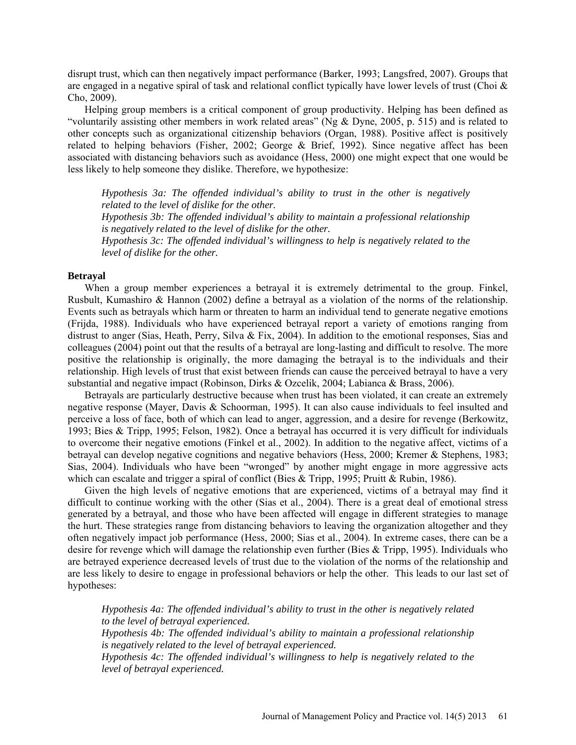disrupt trust, which can then negatively impact performance (Barker, 1993; Langsfred, 2007). Groups that are engaged in a negative spiral of task and relational conflict typically have lower levels of trust (Choi & Cho, 2009).

Helping group members is a critical component of group productivity. Helping has been defined as "voluntarily assisting other members in work related areas" (Ng & Dyne, 2005, p. 515) and is related to other concepts such as organizational citizenship behaviors (Organ, 1988). Positive affect is positively related to helping behaviors (Fisher, 2002; George & Brief, 1992). Since negative affect has been associated with distancing behaviors such as avoidance (Hess, 2000) one might expect that one would be less likely to help someone they dislike. Therefore, we hypothesize:

*Hypothesis 3a: The offended individual's ability to trust in the other is negatively related to the level of dislike for the other.*

*Hypothesis 3b: The offended individual's ability to maintain a professional relationship is negatively related to the level of dislike for the other.*

*Hypothesis 3c: The offended individual's willingness to help is negatively related to the level of dislike for the other.*

## **Betrayal**

When a group member experiences a betrayal it is extremely detrimental to the group. Finkel, Rusbult, Kumashiro & Hannon (2002) define a betrayal as a violation of the norms of the relationship. Events such as betrayals which harm or threaten to harm an individual tend to generate negative emotions (Frijda, 1988). Individuals who have experienced betrayal report a variety of emotions ranging from distrust to anger (Sias, Heath, Perry, Silva & Fix, 2004). In addition to the emotional responses, Sias and colleagues (2004) point out that the results of a betrayal are long-lasting and difficult to resolve. The more positive the relationship is originally, the more damaging the betrayal is to the individuals and their relationship. High levels of trust that exist between friends can cause the perceived betrayal to have a very substantial and negative impact (Robinson, Dirks & Ozcelik, 2004; Labianca & Brass, 2006).

Betrayals are particularly destructive because when trust has been violated, it can create an extremely negative response (Mayer, Davis & Schoorman, 1995). It can also cause individuals to feel insulted and perceive a loss of face, both of which can lead to anger, aggression, and a desire for revenge (Berkowitz, 1993; Bies & Tripp, 1995; Felson, 1982). Once a betrayal has occurred it is very difficult for individuals to overcome their negative emotions (Finkel et al., 2002). In addition to the negative affect, victims of a betrayal can develop negative cognitions and negative behaviors (Hess, 2000; Kremer & Stephens, 1983; Sias, 2004). Individuals who have been "wronged" by another might engage in more aggressive acts which can escalate and trigger a spiral of conflict (Bies & Tripp, 1995; Pruitt & Rubin, 1986).

Given the high levels of negative emotions that are experienced, victims of a betrayal may find it difficult to continue working with the other (Sias et al., 2004). There is a great deal of emotional stress generated by a betrayal, and those who have been affected will engage in different strategies to manage the hurt. These strategies range from distancing behaviors to leaving the organization altogether and they often negatively impact job performance (Hess, 2000; Sias et al., 2004). In extreme cases, there can be a desire for revenge which will damage the relationship even further (Bies & Tripp, 1995). Individuals who are betrayed experience decreased levels of trust due to the violation of the norms of the relationship and are less likely to desire to engage in professional behaviors or help the other. This leads to our last set of hypotheses:

*Hypothesis 4a: The offended individual's ability to trust in the other is negatively related to the level of betrayal experienced.*

*Hypothesis 4b: The offended individual's ability to maintain a professional relationship is negatively related to the level of betrayal experienced.*

*Hypothesis 4c: The offended individual's willingness to help is negatively related to the level of betrayal experienced.*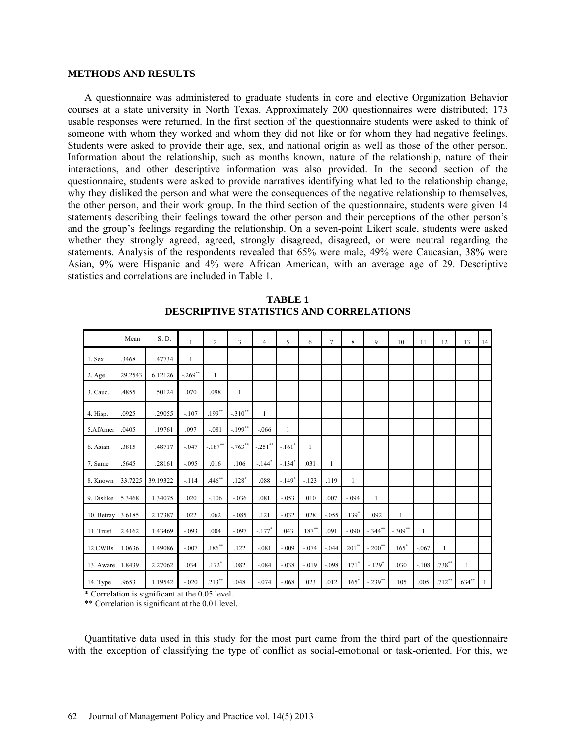#### **METHODS AND RESULTS**

A questionnaire was administered to graduate students in core and elective Organization Behavior courses at a state university in North Texas. Approximately 200 questionnaires were distributed; 173 usable responses were returned. In the first section of the questionnaire students were asked to think of someone with whom they worked and whom they did not like or for whom they had negative feelings. Students were asked to provide their age, sex, and national origin as well as those of the other person. Information about the relationship, such as months known, nature of the relationship, nature of their interactions, and other descriptive information was also provided. In the second section of the questionnaire, students were asked to provide narratives identifying what led to the relationship change, why they disliked the person and what were the consequences of the negative relationship to themselves, the other person, and their work group. In the third section of the questionnaire, students were given 14 statements describing their feelings toward the other person and their perceptions of the other person's and the group's feelings regarding the relationship. On a seven-point Likert scale, students were asked whether they strongly agreed, agreed, strongly disagreed, disagreed, or were neutral regarding the statements. Analysis of the respondents revealed that 65% were male, 49% were Caucasian, 38% were Asian, 9% were Hispanic and 4% were African American, with an average age of 29. Descriptive statistics and correlations are included in Table 1.

|                   | Mean    | S. D.    |              | $\overline{c}$ | $\overline{3}$ | $\overline{4}$      | 5            | 6            | $\overline{7}$ | 8         | 9            | 10           | 11           | 12           | 13           | 14 |
|-------------------|---------|----------|--------------|----------------|----------------|---------------------|--------------|--------------|----------------|-----------|--------------|--------------|--------------|--------------|--------------|----|
| 1. Sex            | .3468   | .47734   | $\mathbf{1}$ |                |                |                     |              |              |                |           |              |              |              |              |              |    |
| 2. Age            | 29.2543 | 6.12126  | $-.269**$    | $\mathbf{1}$   |                |                     |              |              |                |           |              |              |              |              |              |    |
| 3. Cauc.          | .4855   | .50124   | .070         | .098           | $\mathbf{1}$   |                     |              |              |                |           |              |              |              |              |              |    |
| 4. Hisp.          | .0925   | .29055   | $-.107$      | $.199***$      | $-.310**$      | $\mathbf{1}$        |              |              |                |           |              |              |              |              |              |    |
| 5.AfAmer          | .0405   | .19761   | .097         | $-.081$        | $-.199**$      | $-.066$             | $\mathbf{1}$ |              |                |           |              |              |              |              |              |    |
| 6. Asian          | .3815   | .48717   | $-.047$      | $-.187"$       | $-763$ **      | $-.251$ **          | $-.161*$     | $\mathbf{1}$ |                |           |              |              |              |              |              |    |
| 7. Same           | .5645   | .28161   | $-.095$      | .016           | .106           | $-144$ <sup>*</sup> | $-.134"$     | .031         | $\mathbf{1}$   |           |              |              |              |              |              |    |
| 8. Known          | 33.7225 | 39.19322 | $-114$       | $.446***$      | $.128*$        | .088                | $-.149*$     | $-123$       | .119           | 1         |              |              |              |              |              |    |
| 9. Dislike        | 5.3468  | 1.34075  | .020         | $-.106$        | $-.036$        | .081                | $-.053$      | .010         | .007           | $-.094$   | $\mathbf{1}$ |              |              |              |              |    |
| 10. Betray 3.6185 |         | 2.17387  | .022         | .062           | $-.085$        | .121                | $-.032$      | .028         | $-.055$        | $.139*$   | .092         | $\mathbf{1}$ |              |              |              |    |
| 11. Trust         | 2.4162  | 1.43469  | $-.093$      | .004           | $-.097$        | $-.177*$            | .043         | $.187***$    | .091           | $-.090$   | $-.344***$   | $-.309**$    | $\mathbf{1}$ |              |              |    |
| 12.CWBs           | 1.0636  | 1.49086  | $-.007$      | $.186***$      | .122           | $-.081$             | $-.009$      | $-.074$      | $-.044$        | $.201***$ | $-.200**$    | $.165*$      | $-.067$      | $\mathbf{1}$ |              |    |
| 13. Aware 1.8439  |         | 2.27062  | .034         | $.172*$        | .082           | $-.084$             | $-.038$      | $-.019$      | $-.098$        | $.171*$   | $-.129*$     | .030         | $-.108$      | $.738***$    | $\mathbf{1}$ |    |
| 14. Type          | .9653   | 1.19542  | $-.020$      | $.213***$      | .048           | $-.074$             | $-.068$      | .023         | .012           | $.165*$   | $-.239***$   | .105         | .005         | $.712**$     | $.634***$    | 1  |

**TABLE 1 DESCRIPTIVE STATISTICS AND CORRELATIONS**

\* Correlation is significant at the 0.05 level.

\*\* Correlation is significant at the 0.01 level.

Quantitative data used in this study for the most part came from the third part of the questionnaire with the exception of classifying the type of conflict as social-emotional or task-oriented. For this, we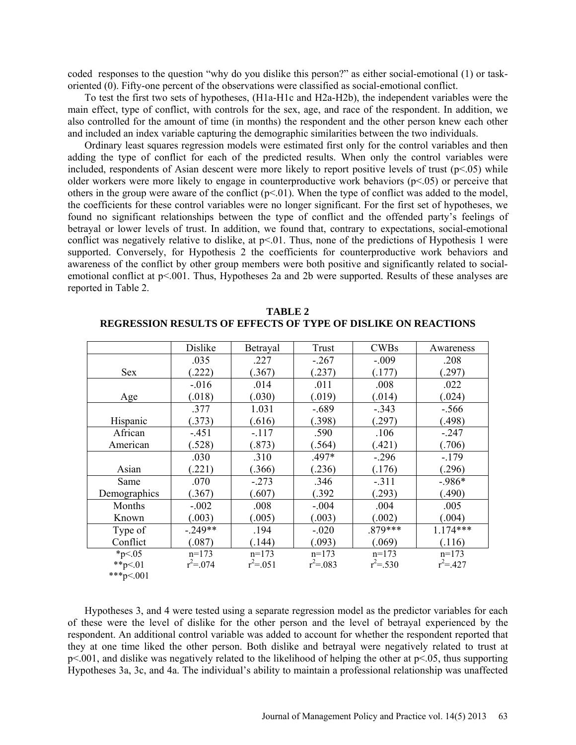coded responses to the question "why do you dislike this person?" as either social-emotional (1) or taskoriented (0). Fifty-one percent of the observations were classified as social-emotional conflict.

To test the first two sets of hypotheses, (H1a-H1c and H2a-H2b), the independent variables were the main effect, type of conflict, with controls for the sex, age, and race of the respondent. In addition, we also controlled for the amount of time (in months) the respondent and the other person knew each other and included an index variable capturing the demographic similarities between the two individuals.

Ordinary least squares regression models were estimated first only for the control variables and then adding the type of conflict for each of the predicted results. When only the control variables were included, respondents of Asian descent were more likely to report positive levels of trust  $(p<0.05)$  while older workers were more likely to engage in counterproductive work behaviors (p<.05) or perceive that others in the group were aware of the conflict  $(p<01)$ . When the type of conflict was added to the model, the coefficients for these control variables were no longer significant. For the first set of hypotheses, we found no significant relationships between the type of conflict and the offended party's feelings of betrayal or lower levels of trust. In addition, we found that, contrary to expectations, social-emotional conflict was negatively relative to dislike, at p<.01. Thus, none of the predictions of Hypothesis 1 were supported. Conversely, for Hypothesis 2 the coefficients for counterproductive work behaviors and awareness of the conflict by other group members were both positive and significantly related to socialemotional conflict at  $p<.001$ . Thus, Hypotheses 2a and 2b were supported. Results of these analyses are reported in Table 2.

|              | Dislike       | Betrayal      | Trust         | <b>CWBs</b> | Awareness   |
|--------------|---------------|---------------|---------------|-------------|-------------|
|              | .035          | .227          | $-.267$       | $-.009$     | .208        |
| <b>Sex</b>   | .222)         | (.367)        | (.237)        | (.177)      | (.297)      |
|              | $-.016$       | .014          | .011          | .008        | .022        |
| Age          | (.018)        | (.030)        | (.019)        | (.014)      | (.024)      |
|              | .377          | 1.031         | $-.689$       | $-.343$     | $-.566$     |
| Hispanic     | (.373)        | (.616)        | (.398)        | (.297)      | (.498)      |
| African      | $-.451$       | $-.117$       | .590          | .106        | $-.247$     |
| American     | (.528)        | (.873)        | (.564)        | (.421)      | (.706)      |
|              | .030          | .310          | $.497*$       | $-.296$     | $-.179$     |
| Asian        | .221)         | (.366)        | (.236)        | (.176)      | (.296)      |
| Same         | .070          | $-.273$       | .346          | $-.311$     | $-986*$     |
| Demographics | (.367)        | (.607)        | (.392)        | (.293)      | (.490)      |
| Months       | $-.002$       | .008          | $-.004$       | .004        | .005        |
| Known        | (.003)        | (.005)        | (.003)        | (.002)      | (.004)      |
| Type of      | $-.249**$     | .194          | $-.020$       | .879***     | $1.174***$  |
| Conflict     | (.087)        | (144)         | (.093)        | (.069)      | (.116)      |
| $*_{p<.05}$  | $n=173$       | $n=173$       | $n=173$       | $n=173$     | $n=173$     |
| **p<.01      | $r^2 = 0.074$ | $r^2 = 0.051$ | $r^2 = 0.083$ | $r^2 = 530$ | $r^2 = 427$ |
| ***p<.001    |               |               |               |             |             |

**TABLE 2 REGRESSION RESULTS OF EFFECTS OF TYPE OF DISLIKE ON REACTIONS**

Hypotheses 3, and 4 were tested using a separate regression model as the predictor variables for each of these were the level of dislike for the other person and the level of betrayal experienced by the respondent. An additional control variable was added to account for whether the respondent reported that they at one time liked the other person. Both dislike and betrayal were negatively related to trust at p<.001, and dislike was negatively related to the likelihood of helping the other at p<.05, thus supporting Hypotheses 3a, 3c, and 4a. The individual's ability to maintain a professional relationship was unaffected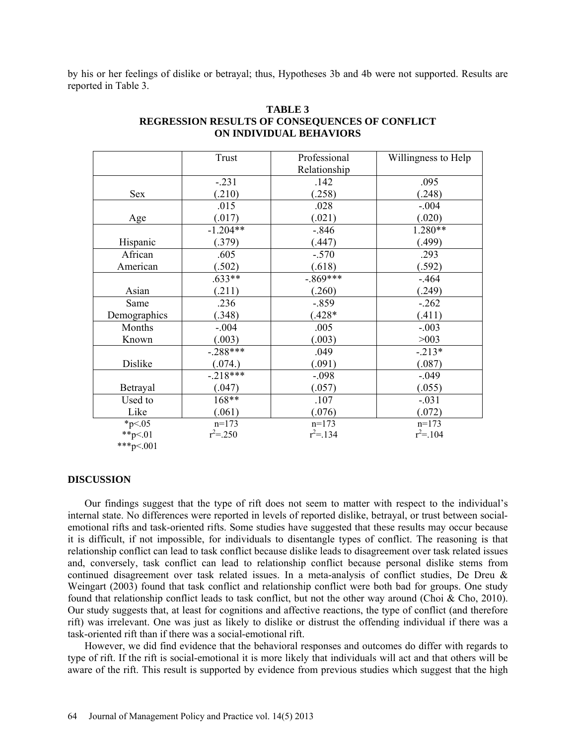by his or her feelings of dislike or betrayal; thus, Hypotheses 3b and 4b were not supported. Results are reported in Table 3.

|              | Trust       | Professional | Willingness to Help |
|--------------|-------------|--------------|---------------------|
|              |             | Relationship |                     |
|              | $-.231$     | .142         | .095                |
| Sex          | (.210)      | (.258)       | (.248)              |
|              | .015        | .028         | $-.004$             |
| Age          | (.017)      | (.021)       | (.020)              |
|              | $-1.204**$  | $-.846$      | 1.280**             |
| Hispanic     | (.379)      | (.447)       | (.499)              |
| African      | .605        | $-.570$      | .293                |
| American     | (.502)      | (.618)       | (.592)              |
|              | $.633**$    | $-.869***$   | $-.464$             |
| Asian        | (.211)      | (.260)       | (.249)              |
| Same         | .236        | $-.859$      | $-.262$             |
| Demographics | (.348)      | $(.428*$     | (.411)              |
| Months       | $-.004$     | .005         | $-.003$             |
| Known        | (.003)      | (.003)       | >003                |
|              | $-.288***$  | .049         | $-.213*$            |
| Dislike      | (.074.)     | (.091)       | (.087)              |
|              | $-.218***$  | $-.098$      | $-.049$             |
| Betrayal     | (.047)      | (.057)       | (.055)              |
| Used to      | 168**       | .107         | $-.031$             |
| Like         | (.061)      | (.076)       | (.072)              |
| $*_{p<.05}$  | $n=173$     | $n=173$      | $n=173$             |
| **p<.01      | $r^2 = 250$ | $r^2 = 134$  | $r^2 = 104$         |
| ***p<.001    |             |              |                     |

# **TABLE 3 REGRESSION RESULTS OF CONSEQUENCES OF CONFLICT ON INDIVIDUAL BEHAVIORS**

#### **DISCUSSION**

Our findings suggest that the type of rift does not seem to matter with respect to the individual's internal state. No differences were reported in levels of reported dislike, betrayal, or trust between socialemotional rifts and task-oriented rifts. Some studies have suggested that these results may occur because it is difficult, if not impossible, for individuals to disentangle types of conflict. The reasoning is that relationship conflict can lead to task conflict because dislike leads to disagreement over task related issues and, conversely, task conflict can lead to relationship conflict because personal dislike stems from continued disagreement over task related issues. In a meta-analysis of conflict studies, De Dreu & Weingart (2003) found that task conflict and relationship conflict were both bad for groups. One study found that relationship conflict leads to task conflict, but not the other way around (Choi  $\&$  Cho, 2010). Our study suggests that, at least for cognitions and affective reactions, the type of conflict (and therefore rift) was irrelevant. One was just as likely to dislike or distrust the offending individual if there was a task-oriented rift than if there was a social-emotional rift.

However, we did find evidence that the behavioral responses and outcomes do differ with regards to type of rift. If the rift is social-emotional it is more likely that individuals will act and that others will be aware of the rift. This result is supported by evidence from previous studies which suggest that the high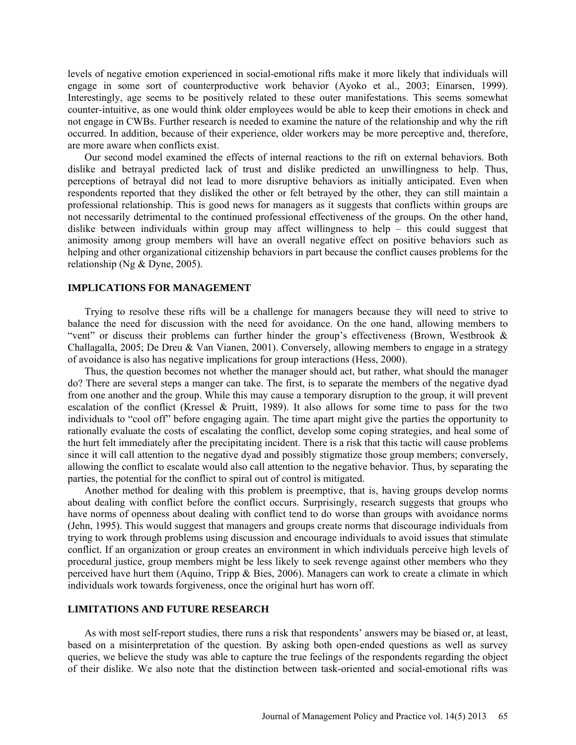levels of negative emotion experienced in social-emotional rifts make it more likely that individuals will engage in some sort of counterproductive work behavior (Ayoko et al., 2003; Einarsen, 1999). Interestingly, age seems to be positively related to these outer manifestations. This seems somewhat counter-intuitive, as one would think older employees would be able to keep their emotions in check and not engage in CWBs. Further research is needed to examine the nature of the relationship and why the rift occurred. In addition, because of their experience, older workers may be more perceptive and, therefore, are more aware when conflicts exist.

Our second model examined the effects of internal reactions to the rift on external behaviors. Both dislike and betrayal predicted lack of trust and dislike predicted an unwillingness to help. Thus, perceptions of betrayal did not lead to more disruptive behaviors as initially anticipated. Even when respondents reported that they disliked the other or felt betrayed by the other, they can still maintain a professional relationship. This is good news for managers as it suggests that conflicts within groups are not necessarily detrimental to the continued professional effectiveness of the groups. On the other hand, dislike between individuals within group may affect willingness to help – this could suggest that animosity among group members will have an overall negative effect on positive behaviors such as helping and other organizational citizenship behaviors in part because the conflict causes problems for the relationship (Ng & Dyne, 2005).

#### **IMPLICATIONS FOR MANAGEMENT**

Trying to resolve these rifts will be a challenge for managers because they will need to strive to balance the need for discussion with the need for avoidance. On the one hand, allowing members to "vent" or discuss their problems can further hinder the group's effectiveness (Brown, Westbrook  $\&$ Challagalla, 2005; De Dreu & Van Vianen, 2001). Conversely, allowing members to engage in a strategy of avoidance is also has negative implications for group interactions (Hess, 2000).

Thus, the question becomes not whether the manager should act, but rather, what should the manager do? There are several steps a manger can take. The first, is to separate the members of the negative dyad from one another and the group. While this may cause a temporary disruption to the group, it will prevent escalation of the conflict (Kressel & Pruitt, 1989). It also allows for some time to pass for the two individuals to "cool off" before engaging again. The time apart might give the parties the opportunity to rationally evaluate the costs of escalating the conflict, develop some coping strategies, and heal some of the hurt felt immediately after the precipitating incident. There is a risk that this tactic will cause problems since it will call attention to the negative dyad and possibly stigmatize those group members; conversely, allowing the conflict to escalate would also call attention to the negative behavior. Thus, by separating the parties, the potential for the conflict to spiral out of control is mitigated.

Another method for dealing with this problem is preemptive, that is, having groups develop norms about dealing with conflict before the conflict occurs. Surprisingly, research suggests that groups who have norms of openness about dealing with conflict tend to do worse than groups with avoidance norms (Jehn, 1995). This would suggest that managers and groups create norms that discourage individuals from trying to work through problems using discussion and encourage individuals to avoid issues that stimulate conflict. If an organization or group creates an environment in which individuals perceive high levels of procedural justice, group members might be less likely to seek revenge against other members who they perceived have hurt them (Aquino, Tripp & Bies, 2006). Managers can work to create a climate in which individuals work towards forgiveness, once the original hurt has worn off.

#### **LIMITATIONS AND FUTURE RESEARCH**

As with most self-report studies, there runs a risk that respondents' answers may be biased or, at least, based on a misinterpretation of the question. By asking both open-ended questions as well as survey queries, we believe the study was able to capture the true feelings of the respondents regarding the object of their dislike. We also note that the distinction between task-oriented and social-emotional rifts was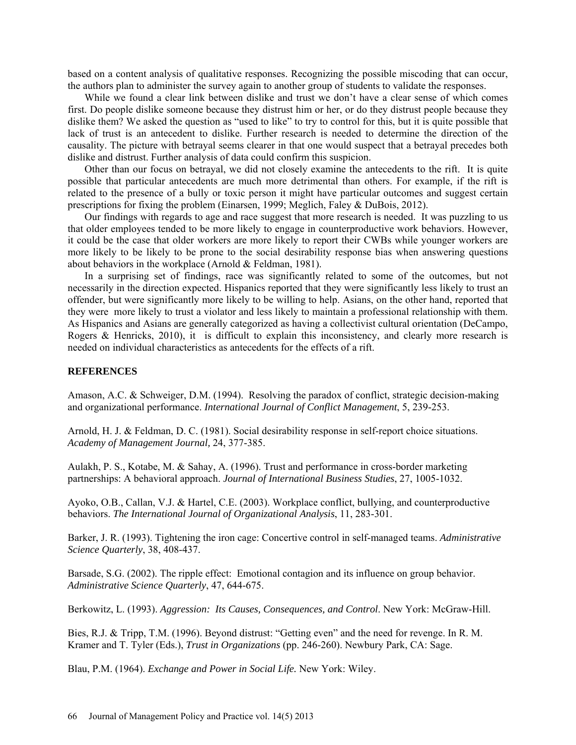based on a content analysis of qualitative responses. Recognizing the possible miscoding that can occur, the authors plan to administer the survey again to another group of students to validate the responses.

While we found a clear link between dislike and trust we don't have a clear sense of which comes first. Do people dislike someone because they distrust him or her, or do they distrust people because they dislike them? We asked the question as "used to like" to try to control for this, but it is quite possible that lack of trust is an antecedent to dislike. Further research is needed to determine the direction of the causality. The picture with betrayal seems clearer in that one would suspect that a betrayal precedes both dislike and distrust. Further analysis of data could confirm this suspicion.

Other than our focus on betrayal, we did not closely examine the antecedents to the rift. It is quite possible that particular antecedents are much more detrimental than others. For example, if the rift is related to the presence of a bully or toxic person it might have particular outcomes and suggest certain prescriptions for fixing the problem (Einarsen, 1999; Meglich, Faley & DuBois, 2012).

Our findings with regards to age and race suggest that more research is needed. It was puzzling to us that older employees tended to be more likely to engage in counterproductive work behaviors. However, it could be the case that older workers are more likely to report their CWBs while younger workers are more likely to be likely to be prone to the social desirability response bias when answering questions about behaviors in the workplace (Arnold & Feldman, 1981).

In a surprising set of findings, race was significantly related to some of the outcomes, but not necessarily in the direction expected. Hispanics reported that they were significantly less likely to trust an offender, but were significantly more likely to be willing to help. Asians, on the other hand, reported that they were more likely to trust a violator and less likely to maintain a professional relationship with them. As Hispanics and Asians are generally categorized as having a collectivist cultural orientation (DeCampo, Rogers & Henricks, 2010), it is difficult to explain this inconsistency, and clearly more research is needed on individual characteristics as antecedents for the effects of a rift.

#### **REFERENCES**

Amason, A.C. & Schweiger, D.M. (1994). Resolving the paradox of conflict, strategic decision-making and organizational performance. *International Journal of Conflict Management*, 5, 239-253.

Arnold, H. J. & Feldman, D. C. (1981). Social desirability response in self-report choice situations. *Academy of Management Journal,* 24, 377-385.

Aulakh, P. S., Kotabe, M. & Sahay, A. (1996). Trust and performance in cross-border marketing partnerships: A behavioral approach. *Journal of International Business Studies*, 27, 1005-1032.

Ayoko, O.B., Callan, V.J. & Hartel, C.E. (2003). Workplace conflict, bullying, and counterproductive behaviors. *The International Journal of Organizational Analysis*, 11, 283-301.

Barker, J. R. (1993). Tightening the iron cage: Concertive control in self-managed teams. *Administrative Science Quarterly*, 38, 408-437.

Barsade, S.G. (2002). The ripple effect: Emotional contagion and its influence on group behavior. *Administrative Science Quarterly*, 47, 644-675.

Berkowitz, L. (1993). *Aggression: Its Causes, Consequences, and Control*. New York: McGraw-Hill.

Bies, R.J. & Tripp, T.M. (1996). Beyond distrust: "Getting even" and the need for revenge. In R. M. Kramer and T. Tyler (Eds.), *Trust in Organizations* (pp. 246-260). Newbury Park, CA: Sage.

Blau, P.M. (1964). *Exchange and Power in Social Life.* New York: Wiley.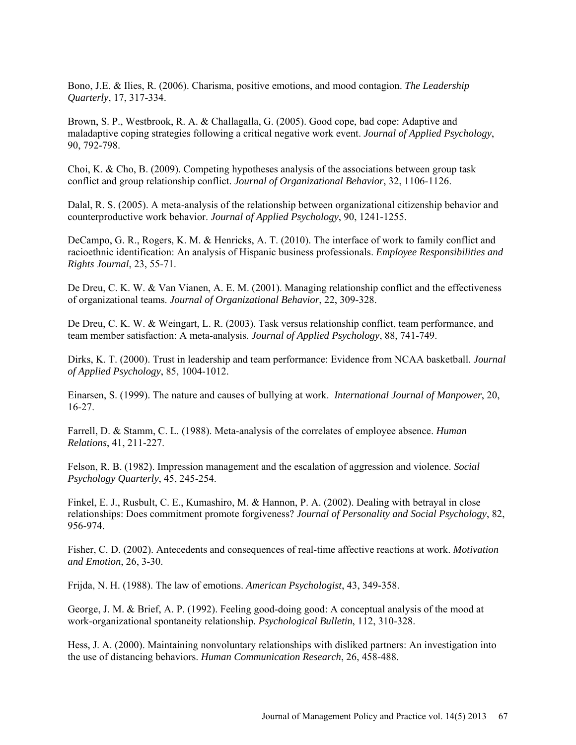Bono, J.E. & Ilies, R. (2006). Charisma, positive emotions, and mood contagion. *The Leadership Quarterly*, 17, 317-334.

Brown, S. P., Westbrook, R. A. & Challagalla, G. (2005). Good cope, bad cope: Adaptive and maladaptive coping strategies following a critical negative work event. *Journal of Applied Psychology*, 90, 792-798.

Choi, K. & Cho, B. (2009). Competing hypotheses analysis of the associations between group task conflict and group relationship conflict. *Journal of Organizational Behavior*, 32, 1106-1126.

Dalal, R. S. (2005). A meta-analysis of the relationship between organizational citizenship behavior and counterproductive work behavior. *Journal of Applied Psychology*, 90, 1241-1255.

DeCampo, G. R., Rogers, K. M. & Henricks, A. T. (2010). The interface of work to family conflict and racioethnic identification: An analysis of Hispanic business professionals. *Employee Responsibilities and Rights Journal*, 23, 55-71.

De Dreu, C. K. W. & Van Vianen, A. E. M. (2001). Managing relationship conflict and the effectiveness of organizational teams. *Journal of Organizational Behavior*, 22, 309-328.

De Dreu, C. K. W. & Weingart, L. R. (2003). Task versus relationship conflict, team performance, and team member satisfaction: A meta-analysis. *Journal of Applied Psychology*, 88, 741-749.

Dirks, K. T. (2000). Trust in leadership and team performance: Evidence from NCAA basketball. *Journal of Applied Psychology*, 85, 1004-1012.

Einarsen, S. (1999). The nature and causes of bullying at work. *International Journal of Manpower*, 20, 16-27.

Farrell, D. & Stamm, C. L. (1988). Meta-analysis of the correlates of employee absence. *Human Relations*, 41, 211-227.

Felson, R. B. (1982). Impression management and the escalation of aggression and violence. *Social Psychology Quarterly*, 45, 245-254.

Finkel, E. J., Rusbult, C. E., Kumashiro, M. & Hannon, P. A. (2002). Dealing with betrayal in close relationships: Does commitment promote forgiveness? *Journal of Personality and Social Psychology*, 82, 956-974.

Fisher, C. D. (2002). Antecedents and consequences of real-time affective reactions at work. *Motivation and Emotion*, 26, 3-30.

Frijda, N. H. (1988). The law of emotions. *American Psychologist*, 43, 349-358.

George, J. M. & Brief, A. P. (1992). Feeling good-doing good: A conceptual analysis of the mood at work-organizational spontaneity relationship. *Psychological Bulletin*, 112, 310-328.

Hess, J. A. (2000). Maintaining nonvoluntary relationships with disliked partners: An investigation into the use of distancing behaviors. *Human Communication Research*, 26, 458-488.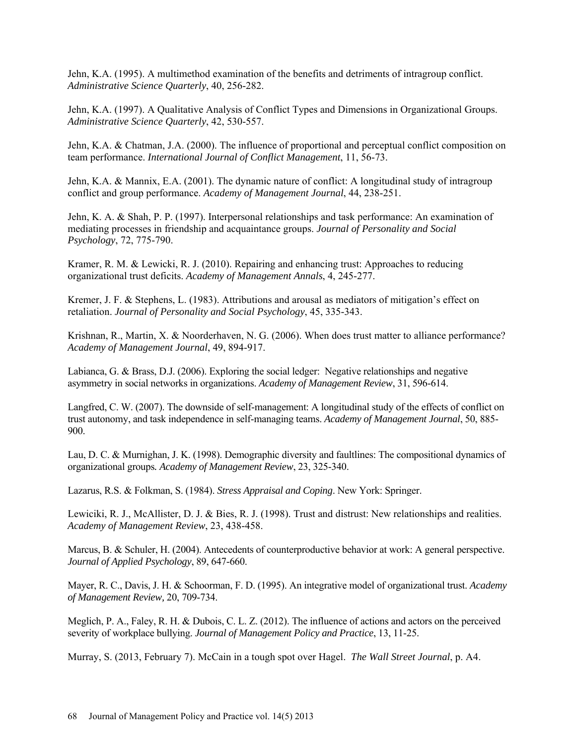Jehn, K.A. (1995). A multimethod examination of the benefits and detriments of intragroup conflict. *Administrative Science Quarterly*, 40, 256-282.

Jehn, K.A. (1997). A Qualitative Analysis of Conflict Types and Dimensions in Organizational Groups. *Administrative Science Quarterly*, 42, 530-557.

Jehn, K.A. & Chatman, J.A. (2000). The influence of proportional and perceptual conflict composition on team performance. *International Journal of Conflict Management*, 11, 56-73.

Jehn, K.A. & Mannix, E.A. (2001). The dynamic nature of conflict: A longitudinal study of intragroup conflict and group performance. *Academy of Management Journal*, 44, 238-251.

Jehn, K. A. & Shah, P. P. (1997). Interpersonal relationships and task performance: An examination of mediating processes in friendship and acquaintance groups. *Journal of Personality and Social Psychology*, 72, 775-790.

Kramer, R. M. & Lewicki, R. J. (2010). Repairing and enhancing trust: Approaches to reducing organizational trust deficits. *Academy of Management Annals*, 4, 245-277.

Kremer, J. F. & Stephens, L. (1983). Attributions and arousal as mediators of mitigation's effect on retaliation. *Journal of Personality and Social Psychology*, 45, 335-343.

Krishnan, R., Martin, X. & Noorderhaven, N. G. (2006). When does trust matter to alliance performance? *Academy of Management Journal*, 49, 894-917.

Labianca, G. & Brass, D.J. (2006). Exploring the social ledger: Negative relationships and negative asymmetry in social networks in organizations. *Academy of Management Review*, 31, 596-614.

Langfred, C. W. (2007). The downside of self-management: A longitudinal study of the effects of conflict on trust autonomy, and task independence in self-managing teams. *Academy of Management Journal*, 50, 885- 900.

Lau, D. C. & Murnighan, J. K. (1998). Demographic diversity and faultlines: The compositional dynamics of organizational groups*. Academy of Management Review*, 23, 325-340.

Lazarus, R.S. & Folkman, S. (1984). *Stress Appraisal and Coping*. New York: Springer.

Lewiciki, R. J., McAllister, D. J. & Bies, R. J. (1998). Trust and distrust: New relationships and realities. *Academy of Management Review*, 23, 438-458.

Marcus, B. & Schuler, H. (2004). Antecedents of counterproductive behavior at work: A general perspective. *Journal of Applied Psychology*, 89, 647-660.

Mayer, R. C., Davis, J. H. & Schoorman, F. D. (1995). An integrative model of organizational trust. *Academy of Management Review,* 20, 709-734.

Meglich, P. A., Faley, R. H. & Dubois, C. L. Z. (2012). The influence of actions and actors on the perceived severity of workplace bullying. *Journal of Management Policy and Practice*, 13, 11-25.

Murray, S. (2013, February 7). McCain in a tough spot over Hagel. *The Wall Street Journal*, p. A4.